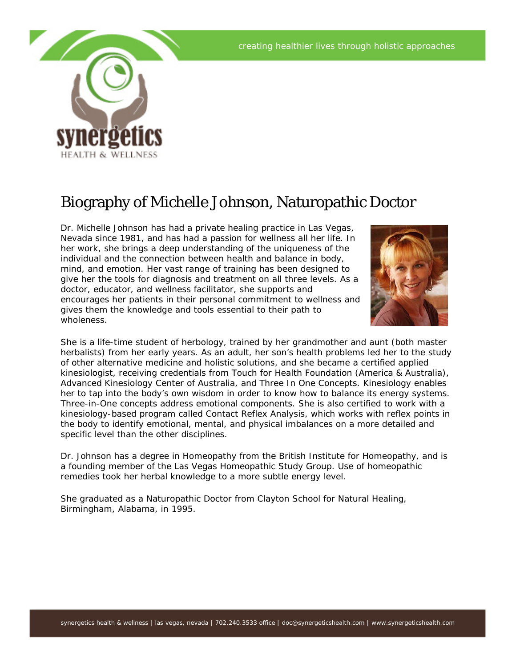

## Biography of Michelle Johnson, Naturopathic Doctor

Dr. Michelle Johnson has had a private healing practice in Las Vegas, Nevada since 1981, and has had a passion for wellness all her life. In her work, she brings a deep understanding of the uniqueness of the individual and the connection between health and balance in body, mind, and emotion. Her vast range of training has been designed to give her the tools for diagnosis and treatment on all three levels. As a doctor, educator, and wellness facilitator, she supports and encourages her patients in their personal commitment to wellness and gives them the knowledge and tools essential to their path to wholeness.



She is a life-time student of herbology, trained by her grandmother and aunt (both master herbalists) from her early years. As an adult, her son's health problems led her to the study of other alternative medicine and holistic solutions, and she became a certified applied kinesiologist, receiving credentials from Touch for Health Foundation (America & Australia), Advanced Kinesiology Center of Australia, and Three In One Concepts. Kinesiology enables her to tap into the body's own wisdom in order to know how to balance its energy systems. Three-in-One concepts address emotional components. She is also certified to work with a kinesiology-based program called Contact Reflex Analysis, which works with reflex points in the body to identify emotional, mental, and physical imbalances on a more detailed and specific level than the other disciplines.

Dr. Johnson has a degree in Homeopathy from the British Institute for Homeopathy, and is a founding member of the Las Vegas Homeopathic Study Group. Use of homeopathic remedies took her herbal knowledge to a more subtle energy level.

She graduated as a Naturopathic Doctor from Clayton School for Natural Healing, Birmingham, Alabama, in 1995.